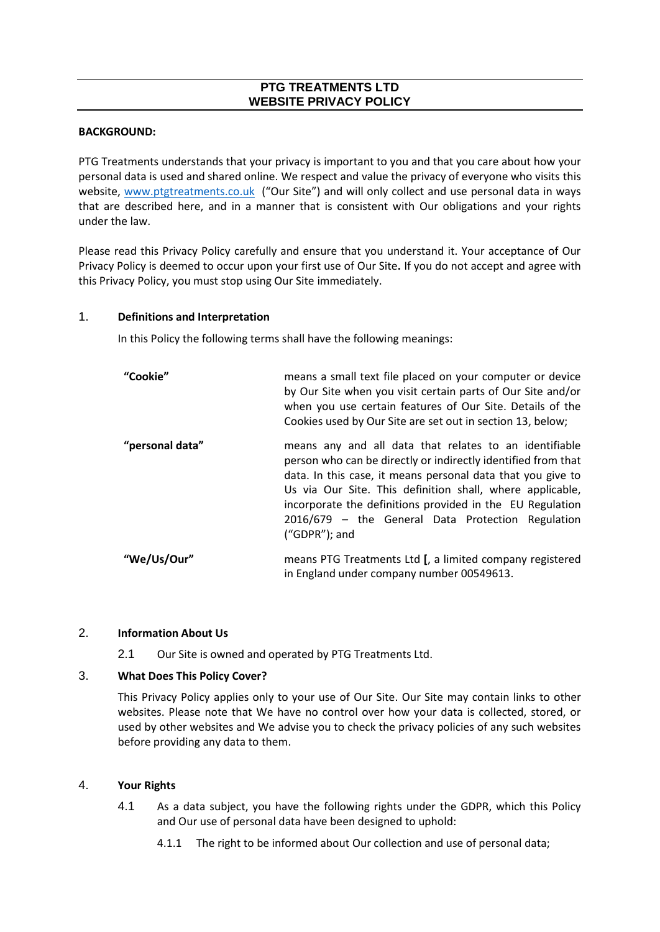# **PTG TREATMENTS LTD WEBSITE PRIVACY POLICY**

#### **BACKGROUND:**

PTG Treatments understands that your privacy is important to you and that you care about how your personal data is used and shared online. We respect and value the privacy of everyone who visits this website, [www.ptgtreatments.co.uk](http://www.ptgtreatments.co.uk/) ("Our Site") and will only collect and use personal data in ways that are described here, and in a manner that is consistent with Our obligations and your rights under the law.

Please read this Privacy Policy carefully and ensure that you understand it. Your acceptance of Our Privacy Policy is deemed to occur upon your first use of Our Site**.** If you do not accept and agree with this Privacy Policy, you must stop using Our Site immediately.

#### 1. **Definitions and Interpretation**

In this Policy the following terms shall have the following meanings:

| "Cookie"        | means a small text file placed on your computer or device<br>by Our Site when you visit certain parts of Our Site and/or<br>when you use certain features of Our Site. Details of the<br>Cookies used by Our Site are set out in section 13, below;                                                                                                                                       |
|-----------------|-------------------------------------------------------------------------------------------------------------------------------------------------------------------------------------------------------------------------------------------------------------------------------------------------------------------------------------------------------------------------------------------|
| "personal data" | means any and all data that relates to an identifiable<br>person who can be directly or indirectly identified from that<br>data. In this case, it means personal data that you give to<br>Us via Our Site. This definition shall, where applicable,<br>incorporate the definitions provided in the EU Regulation<br>2016/679 - the General Data Protection Regulation<br>$("GDPR")$ ; and |
| "We/Us/Our"     | means PTG Treatments Ltd [, a limited company registered<br>in England under company number 00549613.                                                                                                                                                                                                                                                                                     |

### 2. **Information About Us**

2.1 Our Site is owned and operated by PTG Treatments Ltd.

### 3. **What Does This Policy Cover?**

This Privacy Policy applies only to your use of Our Site. Our Site may contain links to other websites. Please note that We have no control over how your data is collected, stored, or used by other websites and We advise you to check the privacy policies of any such websites before providing any data to them.

### 4. **Your Rights**

- 4.1 As a data subject, you have the following rights under the GDPR, which this Policy and Our use of personal data have been designed to uphold:
	- 4.1.1 The right to be informed about Our collection and use of personal data;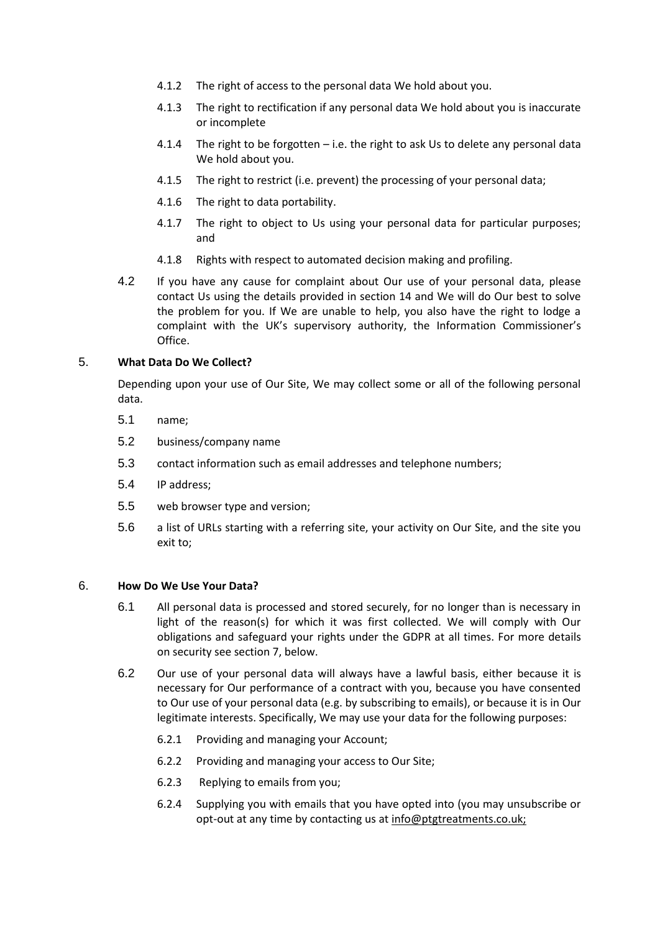- 4.1.2 The right of access to the personal data We hold about you.
- 4.1.3 The right to rectification if any personal data We hold about you is inaccurate or incomplete
- 4.1.4 The right to be forgotten i.e. the right to ask Us to delete any personal data We hold about you.
- 4.1.5 The right to restrict (i.e. prevent) the processing of your personal data;
- 4.1.6 The right to data portability.
- 4.1.7 The right to object to Us using your personal data for particular purposes; and
- 4.1.8 Rights with respect to automated decision making and profiling.
- 4.2 If you have any cause for complaint about Our use of your personal data, please contact Us using the details provided in section 14 and We will do Our best to solve the problem for you. If We are unable to help, you also have the right to lodge a complaint with the UK's supervisory authority, the Information Commissioner's Office.

# 5. **What Data Do We Collect?**

Depending upon your use of Our Site, We may collect some or all of the following personal data.

- 5.1 name;
- 5.2 business/company name
- 5.3 contact information such as email addresses and telephone numbers;
- 5.4 IP address;
- 5.5 web browser type and version;
- 5.6 a list of URLs starting with a referring site, your activity on Our Site, and the site you exit to;

### 6. **How Do We Use Your Data?**

- 6.1 All personal data is processed and stored securely, for no longer than is necessary in light of the reason(s) for which it was first collected. We will comply with Our obligations and safeguard your rights under the GDPR at all times. For more details on security see section 7, below.
- 6.2 Our use of your personal data will always have a lawful basis, either because it is necessary for Our performance of a contract with you, because you have consented to Our use of your personal data (e.g. by subscribing to emails), or because it is in Our legitimate interests. Specifically, We may use your data for the following purposes:
	- 6.2.1 Providing and managing your Account;
	- 6.2.2 Providing and managing your access to Our Site;
	- 6.2.3 Replying to emails from you;
	- 6.2.4 Supplying you with emails that you have opted into (you may unsubscribe or opt-out at any time by contacting us at info@ptgtreatments.co.uk;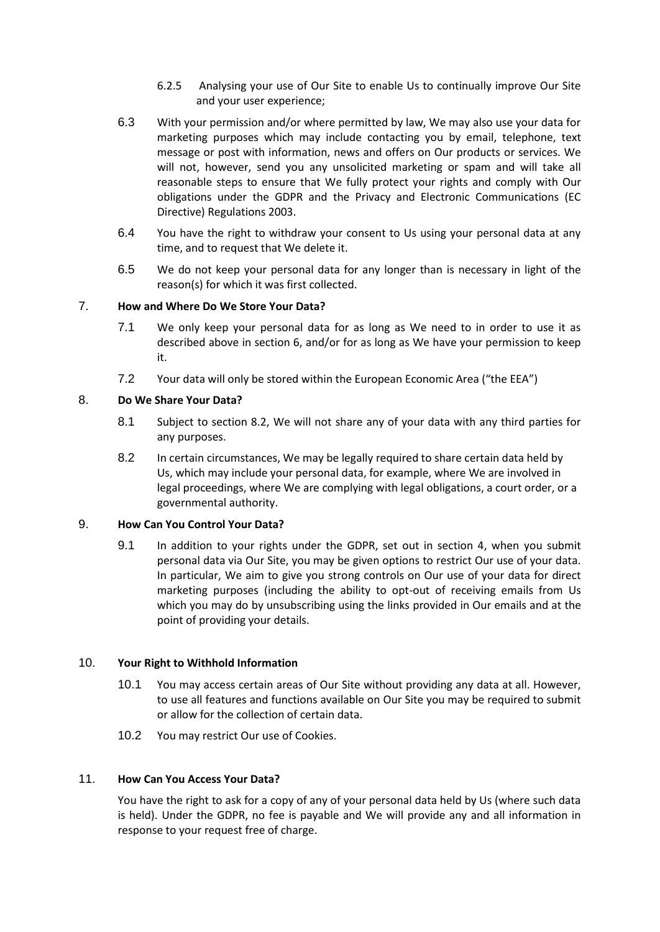- 6.2.5 Analysing your use of Our Site to enable Us to continually improve Our Site and your user experience;
- 6.3 With your permission and/or where permitted by law, We may also use your data for marketing purposes which may include contacting you by email, telephone, text message or post with information, news and offers on Our products or services. We will not, however, send you any unsolicited marketing or spam and will take all reasonable steps to ensure that We fully protect your rights and comply with Our obligations under the GDPR and the Privacy and Electronic Communications (EC Directive) Regulations 2003.
- 6.4 You have the right to withdraw your consent to Us using your personal data at any time, and to request that We delete it.
- 6.5 We do not keep your personal data for any longer than is necessary in light of the reason(s) for which it was first collected.

# 7. **How and Where Do We Store Your Data?**

- 7.1 We only keep your personal data for as long as We need to in order to use it as described above in section 6, and/or for as long as We have your permission to keep it.
- 7.2 Your data will only be stored within the European Economic Area ("the EEA")

# 8. **Do We Share Your Data?**

- 8.1 Subject to section 8.2, We will not share any of your data with any third parties for any purposes.
- 8.2 In certain circumstances, We may be legally required to share certain data held by Us, which may include your personal data, for example, where We are involved in legal proceedings, where We are complying with legal obligations, a court order, or a governmental authority.

### 9. **How Can You Control Your Data?**

9.1 In addition to your rights under the GDPR, set out in section 4, when you submit personal data via Our Site, you may be given options to restrict Our use of your data. In particular, We aim to give you strong controls on Our use of your data for direct marketing purposes (including the ability to opt-out of receiving emails from Us which you may do by unsubscribing using the links provided in Our emails and at the point of providing your details.

### 10. **Your Right to Withhold Information**

- 10.1 You may access certain areas of Our Site without providing any data at all. However, to use all features and functions available on Our Site you may be required to submit or allow for the collection of certain data.
- 10.2 You may restrict Our use of Cookies.

### 11. **How Can You Access Your Data?**

You have the right to ask for a copy of any of your personal data held by Us (where such data is held). Under the GDPR, no fee is payable and We will provide any and all information in response to your request free of charge.